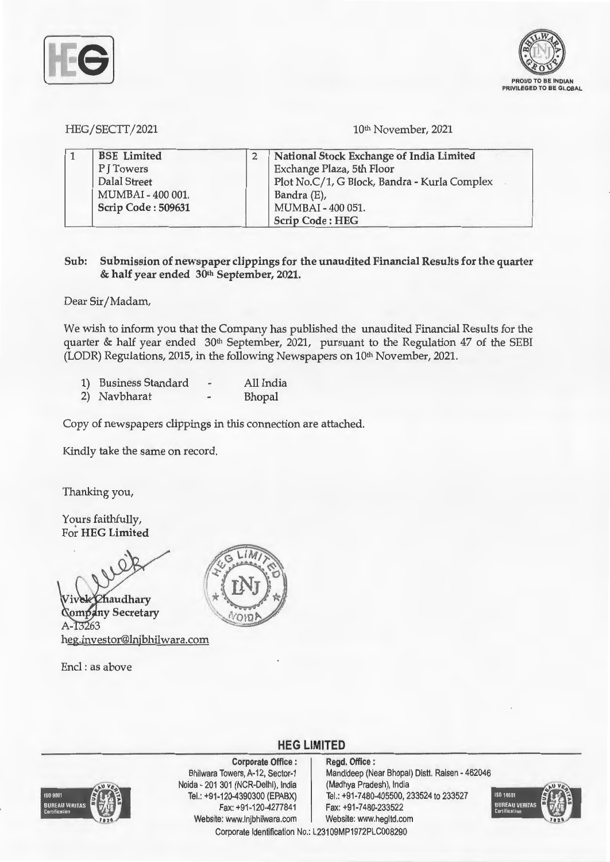

HEG/SECTT/2021

10<sup>th</sup> November, 2021

| <b>BSE</b> Limited | National Stock Exchange of India Limited     |
|--------------------|----------------------------------------------|
| PITowers           | Exchange Plaza, 5th Floor                    |
| Dalal Street       | Plot No.C/1, G Block, Bandra - Kurla Complex |
| MUMBAI - 400 001.  | Bandra (E),                                  |
| Scrip Code: 509631 | MUMBAI - 400 051.                            |
|                    | <b>Scrip Code: HEG</b>                       |

## **Sub: Submission of newspaper clippings for the unaudited Financial Results for the quarter**  & **half year ended 30th September, 2021.**

Dear Sir/Madam,

We wish to inform you that the Company has published the unaudited Financial Results for the quarter & half year ended 30<sup>th</sup> September, 2021, pursuant to the Regulation 47 of the SEBI (LODR) Regulations, 2015, in the following Newspapers on 10<sup>th</sup> November, 2021.

|  | 1) Business Standard |  | All India |
|--|----------------------|--|-----------|
|--|----------------------|--|-----------|

2) Navbharat - Bhopal

Copy of newspapers clippings in this connection are attached.

Kindly take the same on record.

Thanking you,

Yours faithfully, For **HEG Limited** 

**audhary ny Secretary**  13263 heg.investor@lnjbhilwara.com

Encl : as above



# **HEG LIMITED**



**Corporate Office** : Bhilwara Towers, A-12, Sector-1 Noida - 201 301 (NCR-Delhi), India Tel.: +91-120-4390300 (EPABX) Fax: +91 -120-4277841 Website: www.lnjbhilwara.com | Website: www.hegltd.com

**Regd. Office** : Mandideep (Near Bhopal) Distt. Raisen - 462046 (Madhya Pradesh), India Tel.: +91 -7480-405500, 233524 to 233527 Fax: +91 -7480-233522



Corporate Identification No.: L23109MP1972PLC008290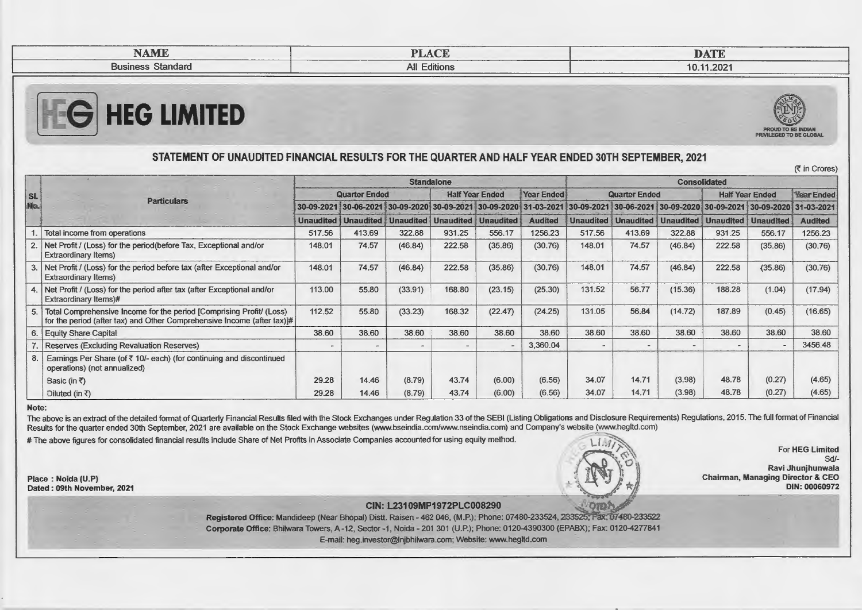| <b>NAME</b>              | $\sim$<br>DT.<br><b>TLAUL</b><br>_________ | <b>TALA COURS</b><br>DAIL          |
|--------------------------|--------------------------------------------|------------------------------------|
| <b>Business Standard</b> | <b>All Editions</b><br>__________          | ____________________<br>10.11.2021 |





in Crores)

## **STATEMENT OF UNAUDITED FINANCIAL RESULTS FOR THE QUARTER AND HALF YEAR ENDED 30TH SEPTEMBER, 2021**

**Standalone** Consolidated **Consolidated SI. Quarter Ended Half Year Ended Year Ended Quarter Ended Half Year Ended Year Ended**  No. **Particulars Particulars 20-09-2021** 30-09-2021 30-09-2020 30-09-2020 31-03-2020 31-03-2020 31-03-2020 31-03-2020 30-09-2020 30-09-2020 31-03-2021 30-09-2020 31-03-2021 20-09-2020 31-03-2020 30-09-2020 31-03-2021 30-09 **Unaudited Unaudited Unaudited Unaudited Unaudited Audited Unaudited Unaudited Unaudited Unaudited Unaudited Audited** 1. Total income from operations 517.56 413.69 322.88 931 .25 556.17 1256.23 517.56 413.69 322.88 931.25 556.17 1256.23 2. Net Profit/ (Loss) for the period(before Tax, Exceptional and/or 148.01 74.57 (46.84) 222.58 (35.86) (30.76) 148.01 74.57 (46.84) 222.58 (35.86) (30.76) Extraordinary Items) 3. Net Profit/ (Loss) for the period before tax (after Exceptional and/or 148.01 74.57 (46.84) 222.58 (35.86) (30.76) 148.01 74.57 (46.84) 222.58 {35.86) (30.76) Extraordinary Items) 4. Net Profit/ (Loss) for the period after tax (after Exceptional and/or 113.00 55.80 (33.91) 168.80 (23.15) (25.30) 131 .52 56.77 (15.36) 188.28 (1.04) (17.94) Extraordinary Items)# 5. Total Comprehensive Income for the period [Comprising Profit/ (Loss) 112.52 55.80 (33.23) 168.32 (22.47) (24.25) 131 .05 56.84 (14.72) 187.89 (0.45) (16.65) for the period (after tax) and Other Comprehensive Income (after tax)# 6. Equity Share Capital 38.60 | 38.60 | 38.60 | 38.60 | 38.60 | 38.60 | 38.60 | 38.60 | 38.60 | 38.60 7. Reserves (Excluding Revaluation Reserves) - - - - - - - - - - - - - - - - - - 3456.48 8. Earnings Per Share (of  $\bar{\tau}$  10/- each) (for continuing and discontinued operations) (not annualized) Basic (in~ 29.28 14.46 (8.79) 43.74 (6.00) (6.56) 34.07 14.71 (3.98) 48.78 (0.27) (4.65) Diluted (in 29.28 14.46 (8.79) 43.74 (6.00) (6.56) 34.07 14.71 (3.98) 48.78 (0.27) (4.65)

#### **Note:**

The above is an extract of the detailed format of Quarterly Financial Results filed with the Stock Exchanges under Regulation 33 of the SEBI (Listing Obligations and Disclosure Requirements) Regulations, 2015. The full for Results for the quarter ended 30th September, 2021 are available on the Stock Exchange websites (www.bseindia.com/www.nseindia.com) and Company's website (www.hegltd.com)

# The above figures for consolidated financial results include Share of Net Profits in Associate Companies accounted for using equity method.



For **HEG Limited** Sd/-**Ravi Jhunjhunwala Chairman, Managing Director & CEO DIN: 00060972** 

## **CIN: L23109MP1972PLC008290 ,\_:\_/0!0~**

**Registered Office: Mandideep (Near Bhopal) Distt. Raisen - 462 046, (M.P.); Phone: 07480-233524, 233525; Fax: 07480-233522 Corporate Office:** Bhilwara Towers, A-12, Sector -1, Naida - 201 301 (U.P.); Phone: 0120-4390300 (EPABX); Fax: 0120-4277841 E-mail: heg.investor@lnjbhilwara.com; Website: www.hegltd.com